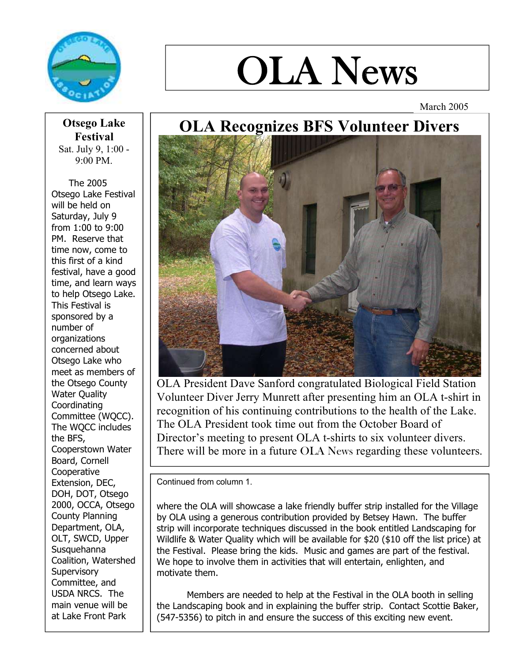

# OLA News

March 2005

## OLA Recognizes BFS Volunteer Divers



OLA President Dave Sanford congratulated Biological Field Station Volunteer Diver Jerry Munrett after presenting him an OLA t-shirt in recognition of his continuing contributions to the health of the Lake. The OLA President took time out from the October Board of Director's meeting to present OLA t-shirts to six volunteer divers. There will be more in a future OLA News regarding these volunteers.

Continued from column 1.

where the OLA will showcase a lake friendly buffer strip installed for the Village by OLA using a generous contribution provided by Betsey Hawn. The buffer strip will incorporate techniques discussed in the book entitled Landscaping for Wildlife & Water Quality which will be available for \$20 (\$10 off the list price) at the Festival. Please bring the kids. Music and games are part of the festival. We hope to involve them in activities that will entertain, enlighten, and motivate them.

Members are needed to help at the Festival in the OLA booth in selling the Landscaping book and in explaining the buffer strip. Contact Scottie Baker, (547-5356) to pitch in and ensure the success of this exciting new event.

Otsego Lake Festival Sat. July 9, 1:00 - 9:00 PM.

 The 2005 Otsego Lake Festival will be held on Saturday, July 9 from 1:00 to 9:00 PM. Reserve that time now, come to this first of a kind festival, have a good time, and learn ways to help Otsego Lake. This Festival is sponsored by a number of organizations concerned about Otsego Lake who meet as members of the Otsego County Water Quality Coordinating Committee (WQCC). The WQCC includes the BFS, Cooperstown Water Board, Cornell Cooperative Extension, DEC, DOH, DOT, Otsego 2000, OCCA, Otsego County Planning Department, OLA, OLT, SWCD, Upper Susquehanna Coalition, Watershed **Supervisory** Committee, and USDA NRCS. The main venue will be at Lake Front Park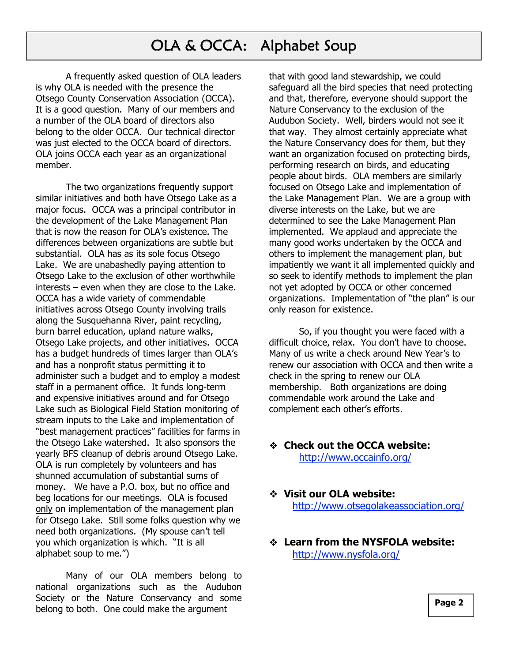## OLA & OCCA: Alphabet Soup

A frequently asked question of OLA leaders is why OLA is needed with the presence the Otsego County Conservation Association (OCCA). It is a good question. Many of our members and a number of the OLA board of directors also belong to the older OCCA. Our technical director was just elected to the OCCA board of directors. OLA joins OCCA each year as an organizational member.

The two organizations frequently support similar initiatives and both have Otsego Lake as a major focus. OCCA was a principal contributor in the development of the Lake Management Plan that is now the reason for OLA's existence. The differences between organizations are subtle but substantial. OLA has as its sole focus Otsego Lake. We are unabashedly paying attention to Otsego Lake to the exclusion of other worthwhile interests – even when they are close to the Lake. OCCA has a wide variety of commendable initiatives across Otsego County involving trails along the Susquehanna River, paint recycling, burn barrel education, upland nature walks, Otsego Lake projects, and other initiatives. OCCA has a budget hundreds of times larger than OLA's and has a nonprofit status permitting it to administer such a budget and to employ a modest staff in a permanent office. It funds long-term and expensive initiatives around and for Otsego Lake such as Biological Field Station monitoring of stream inputs to the Lake and implementation of "best management practices" facilities for farms in the Otsego Lake watershed. It also sponsors the yearly BFS cleanup of debris around Otsego Lake. OLA is run completely by volunteers and has shunned accumulation of substantial sums of money. We have a P.O. box, but no office and beg locations for our meetings. OLA is focused only on implementation of the management plan for Otsego Lake. Still some folks question why we need both organizations. (My spouse can't tell you which organization is which. "It is all alphabet soup to me.")

Many of our OLA members belong to national organizations such as the Audubon Society or the Nature Conservancy and some belong to both. One could make the argument

that with good land stewardship, we could safeguard all the bird species that need protecting and that, therefore, everyone should support the Nature Conservancy to the exclusion of the Audubon Society. Well, birders would not see it that way. They almost certainly appreciate what the Nature Conservancy does for them, but they want an organization focused on protecting birds, performing research on birds, and educating people about birds. OLA members are similarly focused on Otsego Lake and implementation of the Lake Management Plan. We are a group with diverse interests on the Lake, but we are determined to see the Lake Management Plan implemented. We applaud and appreciate the many good works undertaken by the OCCA and others to implement the management plan, but impatiently we want it all implemented quickly and so seek to identify methods to implement the plan not yet adopted by OCCA or other concerned organizations. Implementation of "the plan" is our only reason for existence.

 So, if you thought you were faced with a difficult choice, relax. You don't have to choose. Many of us write a check around New Year's to renew our association with OCCA and then write a check in the spring to renew our OLA membership. Both organizations are doing commendable work around the Lake and complement each other's efforts.

- Check out the OCCA website: http://www.occainfo.org/
- Visit our OLA website: http://www.otsegolakeassociation.org/
- Learn from the NYSFOLA website: http://www.nysfola.org/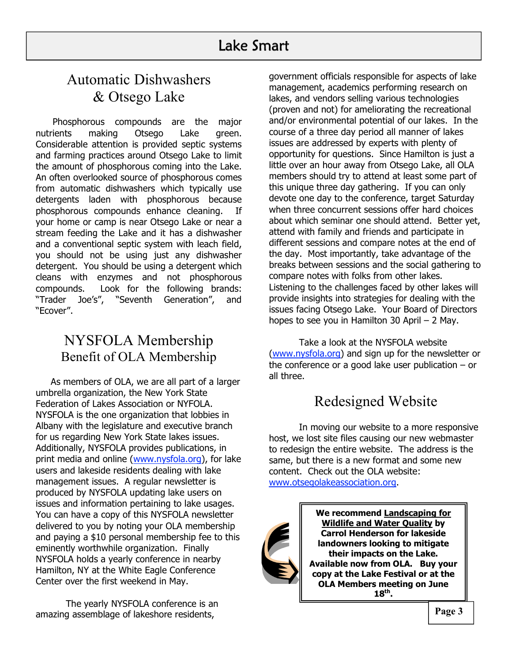## Automatic Dishwashers & Otsego Lake

cleans with enzymes and not phosphorous Phosphorous compounds are the major nutrients making Otsego Lake green. Considerable attention is provided septic systems and farming practices around Otsego Lake to limit the amount of phosphorous coming into the Lake. An often overlooked source of phosphorous comes from automatic dishwashers which typically use detergents laden with phosphorous because phosphorous compounds enhance cleaning. If your home or camp is near Otsego Lake or near a stream feeding the Lake and it has a dishwasher and a conventional septic system with leach field, you should not be using just any dishwasher detergent. You should be using a detergent which compounds. Look for the following brands: "Trader Joe's", "Seventh Generation", and "Ecover".

### NYSFOLA Membership Benefit of OLA Membership

As members of OLA, we are all part of a larger umbrella organization, the New York State Federation of Lakes Association or NYFOLA. NYSFOLA is the one organization that lobbies in Albany with the legislature and executive branch for us regarding New York State lakes issues. Additionally, NYSFOLA provides publications, in print media and online (www.nysfola.org), for lake users and lakeside residents dealing with lake management issues. A regular newsletter is produced by NYSFOLA updating lake users on issues and information pertaining to lake usages. You can have a copy of this NYSFOLA newsletter delivered to you by noting your OLA membership and paying a \$10 personal membership fee to this eminently worthwhile organization. Finally NYSFOLA holds a yearly conference in nearby Hamilton, NY at the White Eagle Conference Center over the first weekend in May.

The yearly NYSFOLA conference is an amazing assemblage of lakeshore residents,

government officials responsible for aspects of lake management, academics performing research on lakes, and vendors selling various technologies (proven and not) for ameliorating the recreational and/or environmental potential of our lakes. In the course of a three day period all manner of lakes issues are addressed by experts with plenty of opportunity for questions. Since Hamilton is just a little over an hour away from Otsego Lake, all OLA members should try to attend at least some part of this unique three day gathering. If you can only devote one day to the conference, target Saturday when three concurrent sessions offer hard choices about which seminar one should attend. Better yet, attend with family and friends and participate in different sessions and compare notes at the end of the day. Most importantly, take advantage of the breaks between sessions and the social gathering to compare notes with folks from other lakes. Listening to the challenges faced by other lakes will provide insights into strategies for dealing with the issues facing Otsego Lake. Your Board of Directors hopes to see you in Hamilton 30 April – 2 May.

Take a look at the NYSFOLA website (www.nysfola.org) and sign up for the newsletter or the conference or a good lake user publication – or all three.

## Redesigned Website

In moving our website to a more responsive host, we lost site files causing our new webmaster to redesign the entire website. The address is the same, but there is a new format and some new content. Check out the OLA website: www.otsegolakeassociation.org.



We recommend Landscaping for Wildlife and Water Quality by Carrol Henderson for lakeside landowners looking to mitigate their impacts on the Lake. Available now from OLA. Buy your copy at the Lake Festival or at the OLA Members meeting on June  $18<sup>th</sup>$ .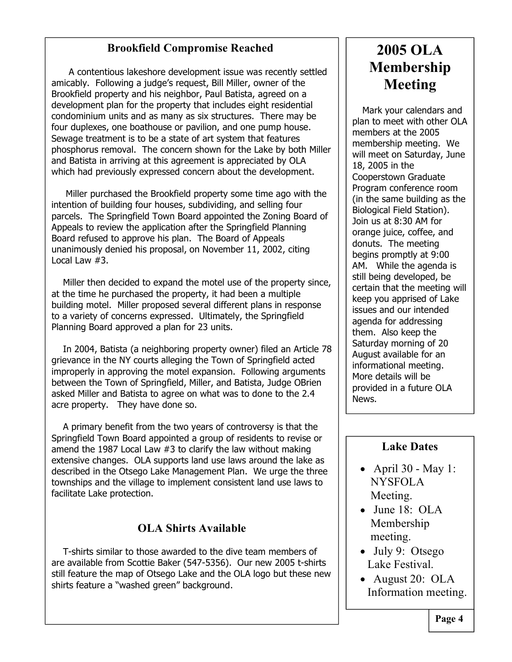#### Brookfield Compromise Reached

**EXECUTE:** A contentious lakeshore development issue was recently settled amicably. Following a judge's request, Bill Miller, owner of the Brookfield property and his neighbor, Paul Batista, agreed on a development plan for the property that includes eight residential condominium units and as many as six structures. There may be four duplexes, one boathouse or pavilion, and one pump house. Sewage treatment is to be a state of art system that features phosphorus removal. The concern shown for the Lake by both Miller and Batista in arriving at this agreement is appreciated by OLA which had previously expressed concern about the development.

 Miller purchased the Brookfield property some time ago with the intention of building four houses, subdividing, and selling four parcels. The Springfield Town Board appointed the Zoning Board of Appeals to review the application after the Springfield Planning Board refused to approve his plan. The Board of Appeals unanimously denied his proposal, on November 11, 2002, citing Local Law #3.

 Miller then decided to expand the motel use of the property since, at the time he purchased the property, it had been a multiple building motel. Miller proposed several different plans in response to a variety of concerns expressed. Ultimately, the Springfield Planning Board approved a plan for 23 units.

 In 2004, Batista (a neighboring property owner) filed an Article 78 grievance in the NY courts alleging the Town of Springfield acted improperly in approving the motel expansion. Following arguments between the Town of Springfield, Miller, and Batista, Judge OBrien asked Miller and Batista to agree on what was to done to the 2.4 acre property. They have done so.

 A primary benefit from the two years of controversy is that the Springfield Town Board appointed a group of residents to revise or amend the 1987 Local Law #3 to clarify the law without making extensive changes. OLA supports land use laws around the lake as described in the Otsego Lake Management Plan. We urge the three townships and the village to implement consistent land use laws to facilitate Lake protection.

#### OLA Shirts Available

 T-shirts similar to those awarded to the dive team members of are available from Scottie Baker (547-5356). Our new 2005 t-shirts still feature the map of Otsego Lake and the OLA logo but these new shirts feature a "washed green" background.

## 2005 OLA Membership Meeting

Mark your calendars and plan to meet with other OLA members at the 2005 membership meeting. We will meet on Saturday, June 18, 2005 in the Cooperstown Graduate Program conference room (in the same building as the Biological Field Station). Join us at 8:30 AM for orange juice, coffee, and donuts. The meeting begins promptly at 9:00 AM. While the agenda is still being developed, be certain that the meeting will keep you apprised of Lake issues and our intended agenda for addressing them. Also keep the Saturday morning of 20 August available for an informational meeting. More details will be provided in a future OLA News.

#### Lake Dates

- April 30 May 1: NYSFOLA Meeting.
- $\bullet$  June 18: OLA Membership meeting.
- July 9: Otsego Lake Festival.
- August 20: OLA Information meeting.